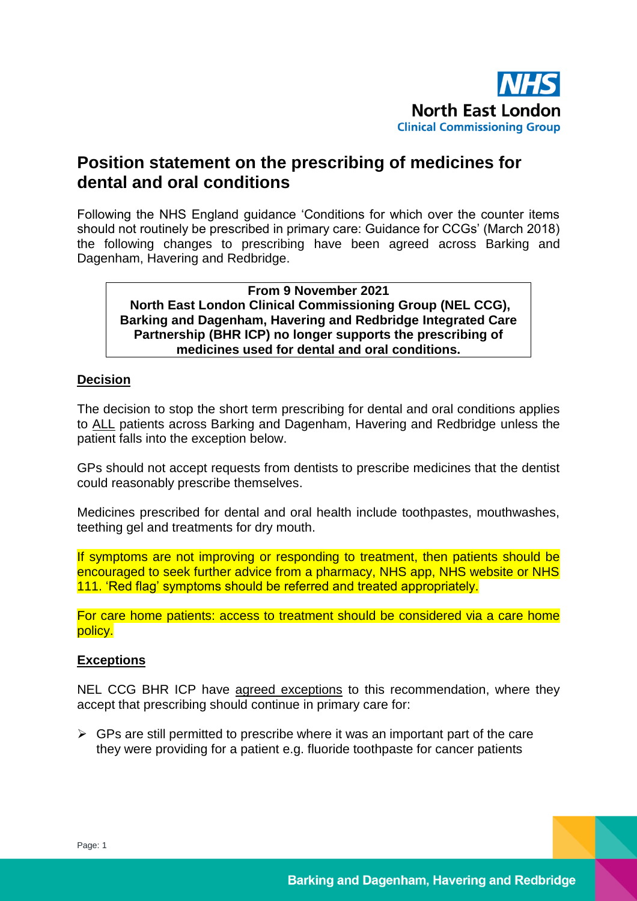

# **Position statement on the prescribing of medicines for dental and oral conditions**

Following the NHS England guidance 'Conditions for which over the counter items should not routinely be prescribed in primary care: Guidance for CCGs' (March 2018) the following changes to prescribing have been agreed across Barking and Dagenham, Havering and Redbridge.

**From 9 November 2021 North East London Clinical Commissioning Group (NEL CCG), Barking and Dagenham, Havering and Redbridge Integrated Care Partnership (BHR ICP) no longer supports the prescribing of medicines used for dental and oral conditions.**

## **Decision**

The decision to stop the short term prescribing for dental and oral conditions applies to ALL patients across Barking and Dagenham, Havering and Redbridge unless the patient falls into the exception below.

GPs should not accept requests from dentists to prescribe medicines that the dentist could reasonably prescribe themselves.

Medicines prescribed for dental and oral health include toothpastes, mouthwashes, teething gel and treatments for dry mouth.

If symptoms are not improving or responding to treatment, then patients should be encouraged to seek further advice from a pharmacy, NHS app, NHS website or NHS 111. 'Red flag' symptoms should be referred and treated appropriately.

For care home patients: access to treatment should be considered via a care home policy.

#### **Exceptions**

NEL CCG BHR ICP have agreed exceptions to this recommendation, where they accept that prescribing should continue in primary care for:

 $\triangleright$  GPs are still permitted to prescribe where it was an important part of the care they were providing for a patient e.g. fluoride toothpaste for cancer patients